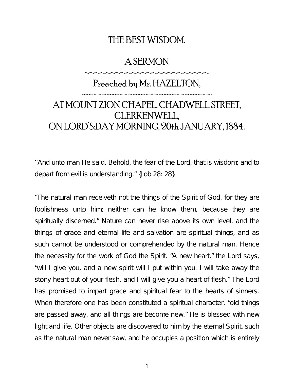### THE BEST WISDOM.

### A SERMON

~~~~~~~~~~~~~~~~~~~~~~~

# Preached by Mr. HAZELTON, ~~~~~~~~~~~~~~~~~~~~~~~~ AT MOUNT ZION CHAPEL, CHADWELL STREET, CLERKENWELL, ON LORD'S:DAY MORNING, 20th JANUARY, 1884.

''And unto man He said, Behold, the fear of the Lord, that is wisdom; and to depart from evil is understanding." {Job 28: 28}.

"The natural man receiveth not the things of the Spirit of God, for they are foolishness unto him; neither can he know them, because they are spiritually discerned." Nature can never rise above its own level, and the things of grace and eternal life and salvation are spiritual things, and as such cannot be understood or comprehended by the natural man. Hence the necessity for the work of God the Spirit. "A new heart," the Lord says, "will I give you, and a new spirit will I put within you. I will take away the stony heart out of your flesh, and I will give you a heart of flesh." The Lord has promised to impart grace and spiritual fear to the hearts of sinners. When therefore one has been constituted a spiritual character, "old things are passed away, and all things are become new." He is blessed with new light and life. Other objects are discovered to him by the eternal Spirit, such as the natural man never saw, and he occupies a position which is entirely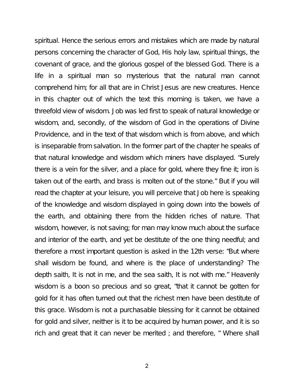spiritual. Hence the serious errors and mistakes which are made by natural persons concerning the character of God, His holy law, spiritual things, the covenant of grace, and the glorious gospel of the blessed God. There is a life in a spiritual man so mysterious that the natural man cannot comprehend him; for all that are in Christ Jesus are new creatures. Hence in this chapter out of which the text this morning is taken, we have a threefold view of wisdom. Job was led first to speak of natural knowledge or wisdom, and, secondly, of the wisdom of God in the operations of Divine Providence, and in the text of that wisdom which is from above, and which is inseparable from salvation. In the former part of the chapter he speaks of that natural knowledge and wisdom which miners have displayed. "Surely there is a vein for the silver, and a place for gold, where they fine it; iron is taken out of the earth, and brass is molten out of the stone." But if you will read the chapter at your leisure, you will perceive that Job here is speaking of the knowledge and wisdom displayed in going down into the bowels of the earth, and obtaining there from the hidden riches of nature. That wisdom, however, is not saving; for man may know much about the surface and interior of the earth, and yet be destitute of the one thing needful; and therefore a most important question is asked in the 12th verse: "But where shall wisdom be found, and where is the place of understanding? The depth saith, It is not in me, and the sea saith, It is not with me." Heavenly wisdom is a boon so precious and so great, "that it cannot be gotten for gold for it has often turned out that the richest men have been destitute of this grace. Wisdom is not a purchasable blessing for it cannot be obtained for gold and silver, neither is it to be acquired by human power, and it is so rich and great that it can never be merited ; and therefore, " Where shall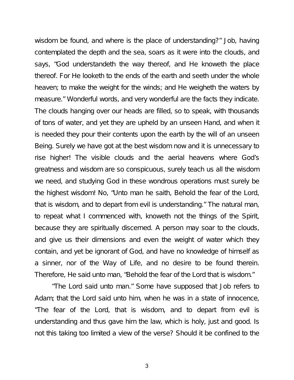wisdom be found, and where is the place of understanding?" Job, having contemplated the depth and the sea, soars as it were into the clouds, and says, "God understandeth the way thereof, and He knoweth the place thereof. For He looketh to the ends of the earth and seeth under the whole heaven; to make the weight for the winds; and He weigheth the waters by measure." Wonderful words, and very wonderful are the facts they indicate. The clouds hanging over our heads are filled, so to speak, with thousands of tons of water, and yet they are upheld by an unseen Hand, and when it is needed they pour their contents upon the earth by the will of an unseen Being. Surely we have got at the best wisdom now and it is unnecessary to rise higher! The visible clouds and the aerial heavens where God's greatness and wisdom are so conspicuous, surely teach us all the wisdom we need, and studying God in these wondrous operations must surely be the highest wisdom! No, "Unto man he saith, Behold the fear of the Lord, that is wisdom, and to depart from evil is understanding." The natural man, to repeat what I commenced with, knoweth not the things of the Spirit, because they are spiritually discerned. A person may soar to the clouds, and give us their dimensions and even the weight of water which they contain, and yet be ignorant of God, and have no knowledge of himself as a sinner, nor of the Way of Life, and no desire to be found therein. Therefore, He said unto man, "Behold the fear of the Lord that is wisdom."

"The Lord said unto man." Some have supposed that Job refers to Adam; that the Lord said unto him, when he was in a state of innocence, "The fear of the Lord, that is wisdom, and to depart from evil is understanding and thus gave him the law, which is holy, just and good. Is not this taking too limited a view of the verse? Should it be confined to the

3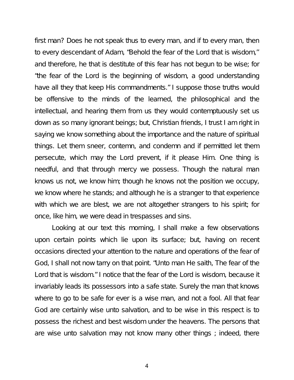first man? Does he not speak thus to every man, and if to every man, then to every descendant of Adam, "Behold the fear of the Lord that is wisdom,'' and therefore, he that is destitute of this fear has not begun to be wise; for "the fear of the Lord is the beginning of wisdom, a good understanding have all they that keep His commandments." I suppose those truths would be offensive to the minds of the learned, the philosophical and the intellectual, and hearing them from us they would contemptuously set us down as so many ignorant beings; but, Christian friends, I trust I am right in saying we know something about the importance and the nature of spiritual things. Let them sneer, contemn, and condemn and if permitted let them persecute, which may the Lord prevent, if it please Him. One thing is needful, and that through mercy we possess. Though the natural man knows us not, we know him; though he knows not the position we occupy, we know where he stands; and although he is a stranger to that experience with which we are blest, we are not altogether strangers to his spirit; for once, like him, we were dead in trespasses and sins.

Looking at our text this morning, I shall make a few observations upon certain points which lie upon its surface; but, having on recent occasions directed your attention to the nature and operations of the fear of God, I shall not now tarry on that point. "Unto man He saith, The fear of the Lord that is wisdom." I notice that the fear of the Lord is wisdom, because it invariably leads its possessors into a safe state. Surely the man that knows where to go to be safe for ever is a wise man, and not a fool. All that fear God are certainly wise unto salvation, and to be wise in this respect is to possess the richest and best wisdom under the heavens. The persons that are wise unto salvation may not know many other things ; indeed, there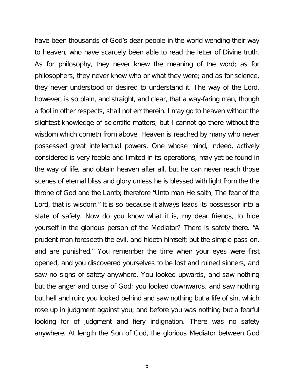have been thousands of God's dear people in the world wending their way to heaven, who have scarcely been able to read the letter of Divine truth. As for philosophy, they never knew the meaning of the word; as for philosophers, they never knew who or what they were; and as for science, they never understood or desired to understand it. The way of the Lord, however, is so plain, and straight, and clear, that a way-faring man, though a fool in other respects, shall not err therein. I may go to heaven without the slightest knowledge of scientific matters; but I cannot go there without the wisdom which cometh from above. Heaven is reached by many who never possessed great intellectual powers. One whose mind, indeed, actively considered is very feeble and limited in its operations, may yet be found in the way of life, and obtain heaven after all, but he can never reach those scenes of eternal bliss and glory unless he is blessed with light from the the throne of God and the Lamb; therefore "Unto man He saith, The fear of the Lord, that is wisdom." It is so because it always leads its possessor into a state of safety. Now do you know what it is, my dear friends, to hide yourself in the glorious person of the Mediator? There is safety there. "A prudent man foreseeth the evil, and hideth himself; but the simple pass on, and are punished." You remember the time when your eyes were first opened, and you discovered yourselves to be lost and ruined sinners, and saw no signs of safety anywhere. You looked upwards, and saw nothing but the anger and curse of God; you looked downwards, and saw nothing but hell and ruin; you looked behind and saw nothing but a life of sin, which rose up in judgment against you; and before you was nothing but a fearful looking for of judgment and fiery indignation. There was no safety anywhere. At length the Son of God, the glorious Mediator between God

5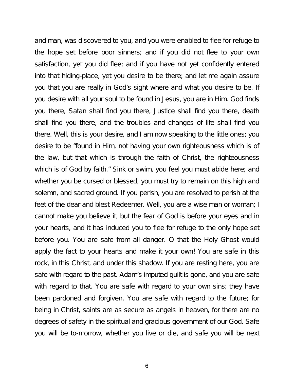and man, was discovered to you, and you were enabled to flee for refuge to the hope set before poor sinners; and if you did not flee to your own satisfaction, yet you did flee; and if you have not yet confidently entered into that hiding-place, yet you desire to be there; and let me again assure you that you are really in God's sight where and what you desire to be. If you desire with all your soul to be found in Jesus, you are in Him. God finds you there, Satan shall find you there, Justice shall find you there, death shall find you there, and the troubles and changes of life shall find you there. Well, this is your desire, and I am now speaking to the little ones; you desire to be "found in Him, not having your own righteousness which is of the law, but that which is through the faith of Christ, the righteousness which is of God by faith." Sink or swim, you feel you must abide here; and whether you be cursed or blessed, you must try to remain on this high and solemn, and sacred ground. If you perish, you are resolved to perish at the feet of the dear and blest Redeemer. Well, you are a wise man or woman; I cannot make you believe it, but the fear of God is before your eyes and in your hearts, and it has induced you to flee for refuge to the only hope set before you. You are safe from all danger. O that the Holy Ghost would apply the fact to your hearts and make it your own! You are safe in this rock, in this Christ, and under this shadow. If you are resting here, you are safe with regard to the past. Adam's imputed guilt is gone, and you are safe with regard to that. You are safe with regard to your own sins; they have been pardoned and forgiven. You are safe with regard to the future; for being in Christ, saints are as secure as angels in heaven, for there are no degrees of safety in the spiritual and gracious government of our God. Safe you will be to-morrow, whether you live or die, and safe you will be next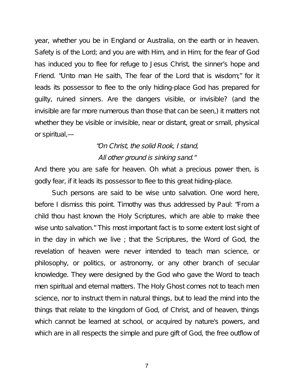year, whether you be in England or Australia, on the earth or in heaven. Safety is of the Lord; and you are with Him, and in Him; for the fear of God has induced you to flee for refuge to Jesus Christ, the sinner's hope and Friend. "Unto man He saith, The fear of the Lord that is wisdom;" for it leads its possessor to flee to the only hiding-place God has prepared for guilty, ruined sinners. Are the dangers visible, or invisible? (and the invisible are far more numerous than those that can be seen,) it matters not whether they be visible or invisible, near or distant, great or small, physical or spiritual,—

# "On Christ, the solid Rook, I stand, All other ground is sinking sand."

And there you are safe for heaven. Oh what a precious power then, is godly fear, if it leads its possessor to flee to this great hiding-place.

Such persons are said to be wise unto salvation. One word here, before I dismiss this point. Timothy was thus addressed by Paul: "From a child thou hast known the Holy Scriptures, which are able to make thee wise unto salvation." This most important fact is to some extent lost sight of in the day in which we live ; that the Scriptures, the Word of God, the revelation of heaven were never intended to teach man science, or philosophy, or politics, or astronomy, or any other branch of secular knowledge. They were designed by the God who gave the Word to teach men spiritual and eternal matters. The Holy Ghost comes not to teach men science, nor to instruct them in natural things, but to lead the mind into the things that relate to the kingdom of God, of Christ, and of heaven, things which cannot be learned at school, or acquired by nature's powers, and which are in all respects the simple and pure gift of God, the free outflow of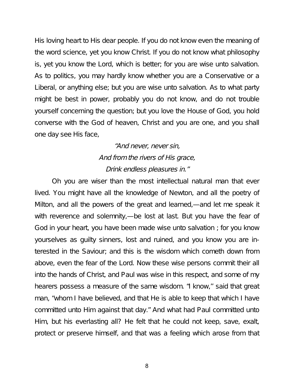His loving heart to His dear people. If you do not know even the meaning of the word science, yet you know Christ. If you do not know what philosophy is, yet you know the Lord, which is better; for you are wise unto salvation. As to politics, you may hardly know whether you are a Conservative or a Liberal, or anything else; but you are wise unto salvation. As to what party might be best in power, probably you do not know, and do not trouble yourself concerning the question; but you love the House of God, you hold converse with the God of heaven, Christ and you are one, and you shall one day see His face,

### "And never, never sin, And from the rivers of His grace, Drink endless pleasures in."

Oh you are wiser than the most intellectual natural man that ever lived. You might have all the knowledge of Newton, and all the poetry of Milton, and all the powers of the great and learned,—and let me speak it with reverence and solemnity,—be lost at last. But you have the fear of God in your heart, you have been made wise unto salvation ; for you know yourselves as guilty sinners, lost and ruined, and you know you are interested in the Saviour; and this is the wisdom which cometh down from above, even the fear of the Lord. Now these wise persons commit their all into the hands of Christ, and Paul was wise in this respect, and some of my hearers possess a measure of the same wisdom. "I know,'' said that great man, "whom I have believed, and that He is able to keep that which I have committed unto Him against that day." And what had Paul committed unto Him, but his everlasting all? He felt that he could not keep, save, exalt, protect or preserve himself, and that was a feeling which arose from that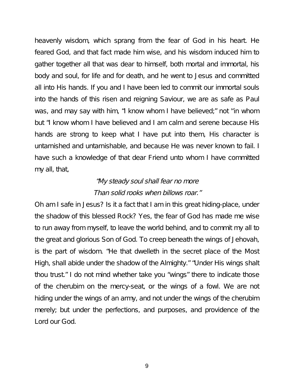heavenly wisdom, which sprang from the fear of God in his heart. He feared God, and that fact made him wise, and his wisdom induced him to gather together all that was dear to himself, both mortal and immortal, his body and soul, for life and for death, and he went to Jesus and committed all into His hands. If you and I have been led to commit our immortal souls into the hands of this risen and reigning Saviour, we are as safe as Paul was, and may say with him, "I know whom I have believed;" not ''in whom but "I know whom I have believed and I am calm and serene because His hands are strong to keep what I have put into them, His character is untarnished and untarnishable, and because He was never known to fail. I have such a knowledge of that dear Friend unto whom I have committed my all, that,

### "My steady soul shall fear no more Than solid rooks when billows roar."

Oh am I safe in Jesus? Is it a fact that I am in this great hiding-place, under the shadow of this blessed Rock? Yes, the fear of God has made me wise to run away from myself, to leave the world behind, and to commit my all to the great and glorious Son of God. To creep beneath the wings of Jehovah, is the part of wisdom. "He that dwelleth in the secret place of the Most High, shall abide under the shadow of the Almighty." "Under His wings shalt thou trust." I do not mind whether take you "wings" there to indicate those of the cherubim on the mercy-seat, or the wings of a fowl. We are not hiding under the wings of an army, and not under the wings of the cherubim merely; but under the perfections, and purposes, and providence of the Lord our God.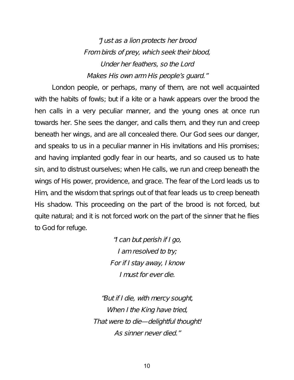"Just as <sup>a</sup> lion protects her brood From birds of prey, which seek their blood, Under her feathers, so the Lord Makes His own arm His people's guard."

London people, or perhaps, many of them, are not well acquainted with the habits of fowls; but if a kite or a hawk appears over the brood the hen calls in a very peculiar manner, and the young ones at once run towards her. She sees the danger, and calls them, and they run and creep beneath her wings, and are all concealed there. Our God sees our danger, and speaks to us in a peculiar manner in His invitations and His promises; and having implanted godly fear in our hearts, and so caused us to hate sin, and to distrust ourselves; when He calls, we run and creep beneath the wings of His power, providence, and grace. The fear of the Lord leads us to Him, and the wisdom that springs out of that fear leads us to creep beneath His shadow. This proceeding on the part of the brood is not forced, but quite natural; and it is not forced work on the part of the sinner that he flies to God for refuge.

> "I can but perish if <sup>I</sup> go, I am resolved to try; For if <sup>I</sup> stay away, <sup>I</sup> know I must for ever die.

"But if <sup>I</sup> die, with mercy sought, When <sup>I</sup> the King have tried, That were to die—delightful thought! As sinner never died."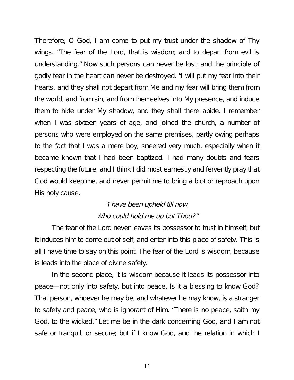Therefore, O God, I am come to put my trust under the shadow of Thy wings. "The fear of the Lord, that is wisdom; and to depart from evil is understanding." Now such persons can never be lost; and the principle of godly fear in the heart can never be destroyed. "I will put my fear into their hearts, and they shall not depart from Me and my fear will bring them from the world, and from sin, and from themselves into My presence, and induce them to hide under My shadow, and they shall there abide. I remember when I was sixteen years of age, and joined the church, a number of persons who were employed on the same premises, partly owing perhaps to the fact that I was a mere boy, sneered very much, especially when it became known that I had been baptized. I had many doubts and fears respecting the future, and I think I did most earnestly and fervently pray that God would keep me, and never permit me to bring a blot or reproach upon His holy cause.

#### "I have been upheld till now, Who could hold me up but Thou?"

The fear of the Lord never leaves its possessor to trust in himself; but it induces him to come out of self, and enter into this place of safety. This is all I have time to say on this point. The fear of the Lord is wisdom, because is leads into the place of divine safety.

In the second place, it is wisdom because it leads its possessor into peace—not only into safety, but into peace. Is it a blessing to know God? That person, whoever he may be, and whatever he may know, is a stranger to safety and peace, who is ignorant of Him. "There is no peace, saith my God, to the wicked." Let me be in the dark concerning God, and I am not safe or tranquil, or secure; but if I know God, and the relation in which I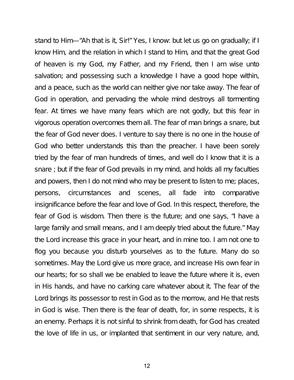stand to Him—"Ah that is it, Sir!" Yes, I know: but let us go on gradually; if I know Him, and the relation in which I stand to Him, and that the great God of heaven is my God, my Father, and my Friend, then I am wise unto salvation; and possessing such a knowledge I have a good hope within, and a peace, such as the world can neither give nor take away. The fear of God in operation, and pervading the whole mind destroys all tormenting fear. At times we have many fears which are not godly, but this fear in vigorous operation overcomes them all. The fear of man brings a snare, but the fear of God never does. I venture to say there is no one in the house of God who better understands this than the preacher. I have been sorely tried by the fear of man hundreds of times, and well do I know that it is a snare ; but if the fear of God prevails in my mind, and holds all my faculties and powers, then I do not mind who may be present to listen to me; places, persons, circumstances and scenes, all fade into comparative insignificance before the fear and love of God. In this respect, therefore, the fear of God is wisdom. Then there is the future; and one says, "I have a large family and small means, and I am deeply tried about the future." May the Lord increase this grace in your heart, and in mine too. I am not one to flog you because you disturb yourselves as to the future. Many do so sometimes. May the Lord give us more grace, and increase His own fear in our hearts; for so shall we be enabled to leave the future where it is, even in His hands, and have no carking care whatever about it. The fear of the Lord brings its possessor to rest in God as to the morrow, and He that rests in God is wise. Then there is the fear of death, for, in some respects, it is an enemy. Perhaps it is not sinful to shrink from death, for God has created the love of life in us, or implanted that sentiment in our very nature, and,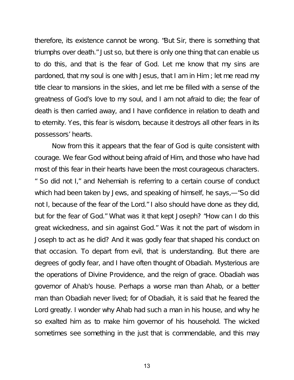therefore, its existence cannot be wrong. "But Sir, there is something that triumphs over death." Just so, but there is only one thing that can enable us to do this, and that is the fear of God. Let me know that my sins are pardoned, that my soul is one with Jesus, that I am in Him ; let me read my title clear to mansions in the skies, and let me be filled with a sense of the greatness of God's love to my soul, and I am not afraid to die; the fear of death is then carried away, and I have confidence in relation to death and to eternity. Yes, this fear is wisdom, because it destroys all other fears in its possessors' hearts.

Now from this it appears that the fear of God is quite consistent with courage. We fear God without being afraid of Him, and those who have had most of this fear in their hearts have been the most courageous characters. " So did not I," and Nehemiah is referring to a certain course of conduct which had been taken by Jews, and speaking of himself, he says,—"So did not I, because of the fear of the Lord." I also should have done as they did, but for the fear of God." What was it that kept Joseph? "How can I do this great wickedness, and sin against God." Was it not the part of wisdom in Joseph to act as he did? And it was godly fear that shaped his conduct on that occasion. To depart from evil, that is understanding. But there are degrees of godly fear, and I have often thought of Obadiah. Mysterious are the operations of Divine Providence, and the reign of grace. Obadiah was governor of Ahab's house. Perhaps a worse man than Ahab, or a better man than Obadiah never lived; for of Obadiah, it is said that he feared the Lord greatly. I wonder why Ahab had such a man in his house, and why he so exalted him as to make him governor of his household. The wicked sometimes see something in the just that is commendable, and this may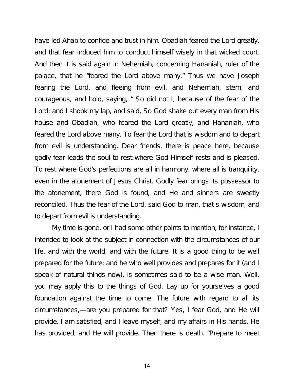have led Ahab to confide and trust in him. Obadiah feared the Lord greatly, and that fear induced him to conduct himself wisely in that wicked court. And then it is said again in Nehemiah, concerning Hananiah, ruler of the palace, that he "feared the Lord above many." Thus we have Joseph fearing the Lord, and fleeing from evil, and Nehemiah, stern, and courageous, and bold, saying, " So did not I, because of the fear of the Lord; and I shook my lap, and said, So God shake out every man from His house and Obadiah, who feared the Lord greatly, and Hananiah, who feared the Lord above many. To fear the Lord that is wisdom and to depart from evil is understanding. Dear friends, there is peace here, because godly fear leads the soul to rest where God Himself rests and is pleased. To rest where God's perfections are all in harmony, where all is tranquility, even in the atonement of Jesus Christ. Godly fear brings its possessor to the atonement, there God is found, and He and sinners are sweetly reconciled. Thus the fear of the Lord, said God to man, that s wisdom, and to depart from evil is understanding.

My time is gone, or I had some other points to mention; for instance, I intended to look at the subject in connection with the circumstances of our life, and with the world, and with the future. It is a good thing to be well prepared for the future; and he who well provides and prepares for it (and I speak of natural things now), is sometimes said to be a wise man. Well, you may apply this to the things of God. Lay up for yourselves a good foundation against the time to come. The future with regard to all its circumstances,—are you prepared for that? Yes, I fear God, and He will provide. I am satisfied, and I leave myself, and my affairs in His hands. He has provided, and He will provide. Then there is death. "Prepare to meet

14